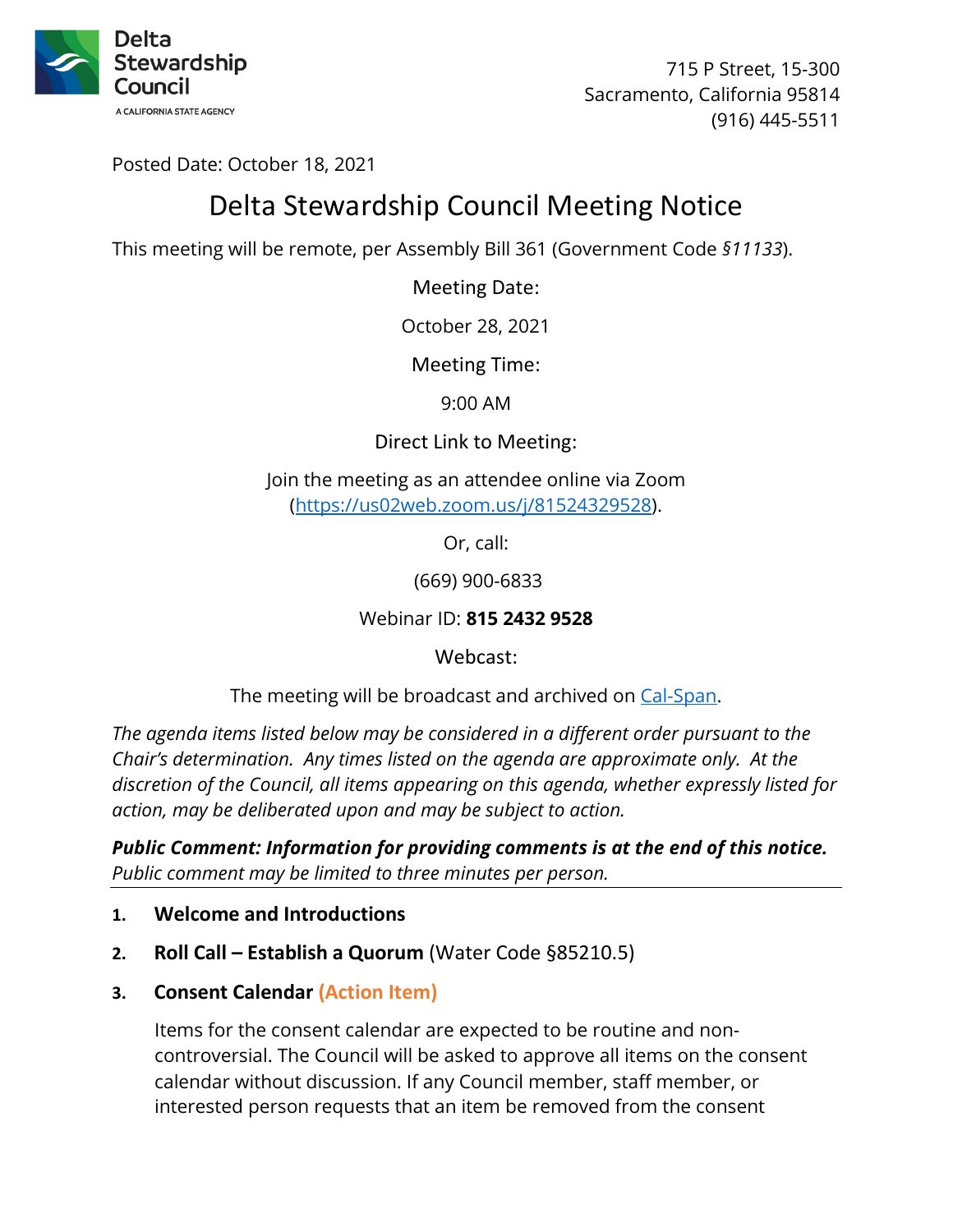

715 P Street, 15-300 Sacramento, California 95814 (916) 445-5511

Posted Date: October 18, 2021

# Delta Stewardship Council Meeting Notice

This meeting will be remote, per Assembly Bill 361 (Government Code *§11133*).

Meeting Date:

October 28, 2021

Meeting Time:

9:00 AM

Direct Link to Meeting:

Join the meeting as an attendee online via Zoom [\(https://us02web.zoom.us/j/81524329528\)](https://us02web.zoom.us/j/81524329528).

Or, call:

(669) 900-6833

Webinar ID: **815 2432 9528**

Webcast:

The meeting will be broadcast and archived on [Cal-Span.](https://www.cal-span.org/)

*The agenda items listed below may be considered in a different order pursuant to the Chair's determination. Any times listed on the agenda are approximate only. At the discretion of the Council, all items appearing on this agenda, whether expressly listed for action, may be deliberated upon and may be subject to action.* 

*Public Comment: Information for providing comments is at the end of this notice. Public comment may be limited to three minutes per person.*

- **1. Welcome and Introductions**
- **2. Roll Call Establish a Quorum** (Water Code §85210.5)
- **3. Consent Calendar (Action Item)**

Items for the consent calendar are expected to be routine and noncontroversial. The Council will be asked to approve all items on the consent calendar without discussion. If any Council member, staff member, or interested person requests that an item be removed from the consent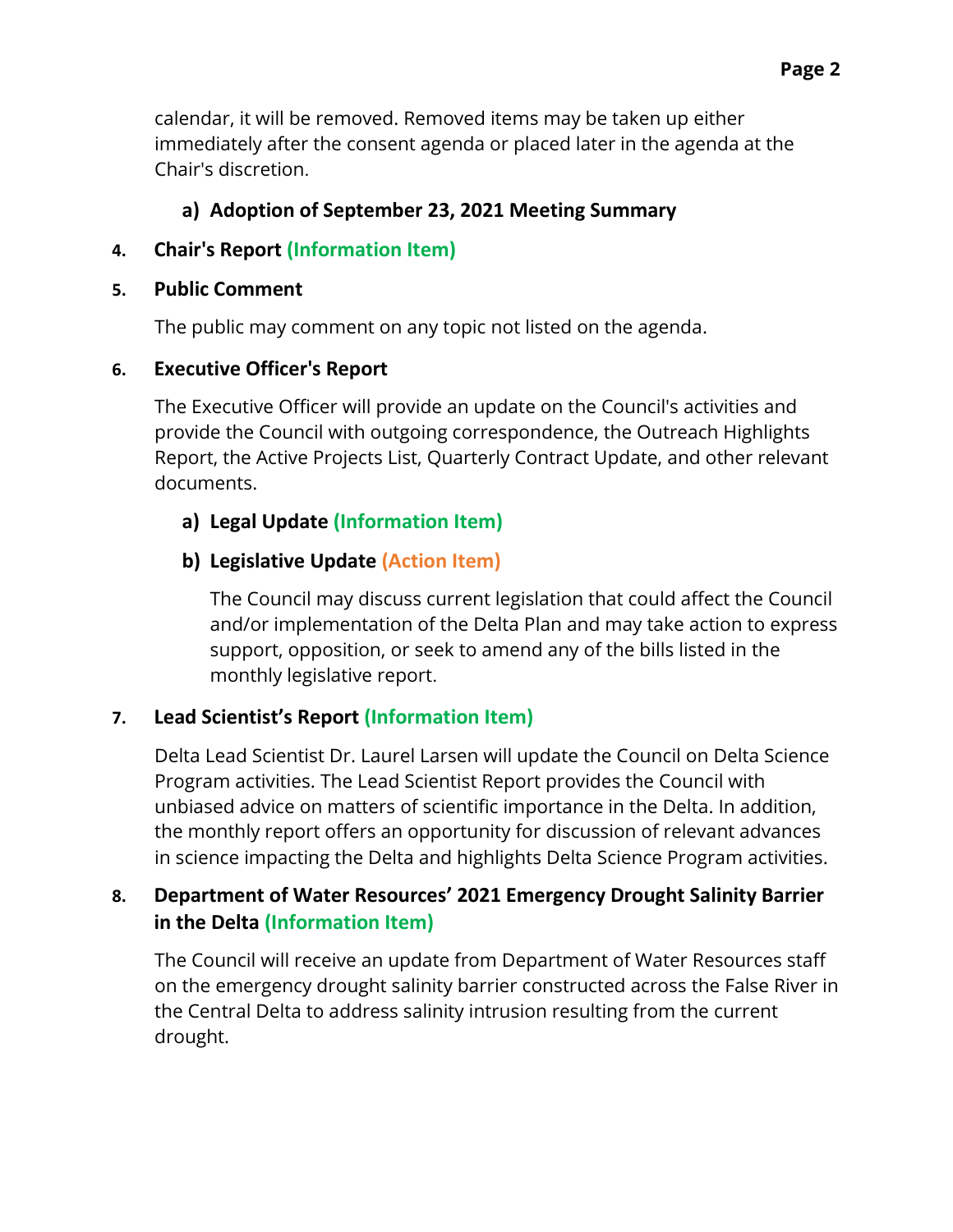calendar, it will be removed. Removed items may be taken up either immediately after the consent agenda or placed later in the agenda at the Chair's discretion.

# **a) Adoption of September 23, 2021 Meeting Summary**

# **4. Chair's Report (Information Item)**

#### **5. Public Comment**

The public may comment on any topic not listed on the agenda.

### **6. Executive Officer's Report**

The Executive Officer will provide an update on the Council's activities and provide the Council with outgoing correspondence, the Outreach Highlights Report, the Active Projects List, Quarterly Contract Update, and other relevant documents.

# **a) Legal Update (Information Item)**

# **b) Legislative Update (Action Item)**

The Council may discuss current legislation that could affect the Council and/or implementation of the Delta Plan and may take action to express support, opposition, or seek to amend any of the bills listed in the monthly legislative report.

### **7. Lead Scientist's Report (Information Item)**

Delta Lead Scientist Dr. Laurel Larsen will update the Council on Delta Science Program activities. The Lead Scientist Report provides the Council with unbiased advice on matters of scientific importance in the Delta. In addition, the monthly report offers an opportunity for discussion of relevant advances in science impacting the Delta and highlights Delta Science Program activities.

# **8. Department of Water Resources' 2021 Emergency Drought Salinity Barrier in the Delta (Information Item)**

The Council will receive an update from Department of Water Resources staff on the emergency drought salinity barrier constructed across the False River in the Central Delta to address salinity intrusion resulting from the current drought.